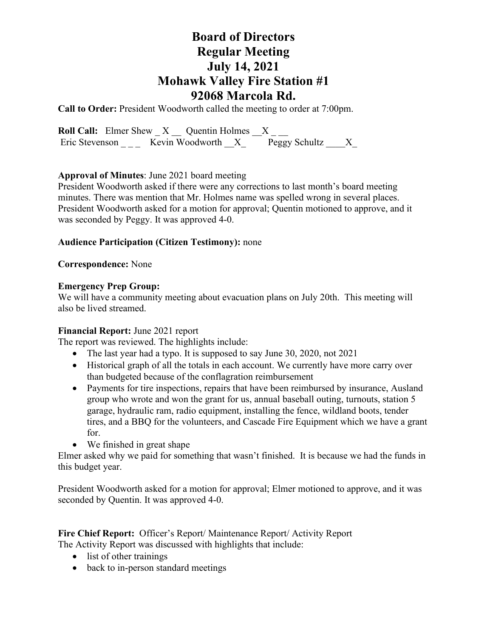# **Board of Directors Regular Meeting July 14, 2021 Mohawk Valley Fire Station #1 92068 Marcola Rd.**

**Call to Order:** President Woodworth called the meeting to order at 7:00pm.

**Roll Call:** Elmer Shew  $X$   $\_\_$  Quentin Holmes  $\_\_X$   $\_\_$ Eric Stevenson \_\_\_\_ Kevin Woodworth  $X_$  Peggy Schultz  $X_$ 

## **Approval of Minutes**: June 2021 board meeting

President Woodworth asked if there were any corrections to last month's board meeting minutes. There was mention that Mr. Holmes name was spelled wrong in several places. President Woodworth asked for a motion for approval; Quentin motioned to approve, and it was seconded by Peggy. It was approved 4-0.

## **Audience Participation (Citizen Testimony):** none

## **Correspondence:** None

# **Emergency Prep Group:**

We will have a community meeting about evacuation plans on July 20th. This meeting will also be lived streamed.

# **Financial Report:** June 2021 report

The report was reviewed. The highlights include:

- The last year had a typo. It is supposed to say June 30, 2020, not 2021
- Historical graph of all the totals in each account. We currently have more carry over than budgeted because of the conflagration reimbursement
- Payments for tire inspections, repairs that have been reimbursed by insurance, Ausland group who wrote and won the grant for us, annual baseball outing, turnouts, station 5 garage, hydraulic ram, radio equipment, installing the fence, wildland boots, tender tires, and a BBQ for the volunteers, and Cascade Fire Equipment which we have a grant for.
- We finished in great shape

Elmer asked why we paid for something that wasn't finished. It is because we had the funds in this budget year.

President Woodworth asked for a motion for approval; Elmer motioned to approve, and it was seconded by Quentin. It was approved 4-0.

### **Fire Chief Report:** Officer's Report/ Maintenance Report/ Activity Report The Activity Report was discussed with highlights that include:

- list of other trainings
- back to in-person standard meetings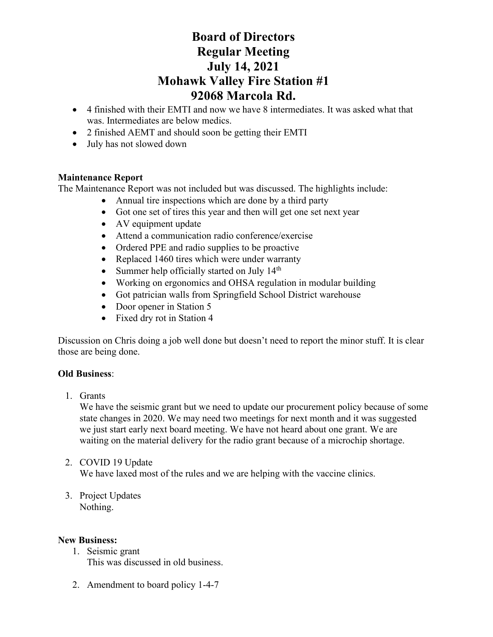# **Board of Directors Regular Meeting July 14, 2021 Mohawk Valley Fire Station #1 92068 Marcola Rd.**

- 4 finished with their EMTI and now we have 8 intermediates. It was asked what that was. Intermediates are below medics.
- 2 finished AEMT and should soon be getting their EMTI
- July has not slowed down

# **Maintenance Report**

The Maintenance Report was not included but was discussed. The highlights include:

- Annual tire inspections which are done by a third party
- Got one set of tires this year and then will get one set next year
- AV equipment update
- Attend a communication radio conference/exercise
- Ordered PPE and radio supplies to be proactive
- Replaced 1460 tires which were under warranty
- Summer help officially started on July 14<sup>th</sup>
- Working on ergonomics and OHSA regulation in modular building
- Got patrician walls from Springfield School District warehouse
- Door opener in Station 5
- Fixed dry rot in Station 4

Discussion on Chris doing a job well done but doesn't need to report the minor stuff. It is clear those are being done.

## **Old Business**:

1. Grants

We have the seismic grant but we need to update our procurement policy because of some state changes in 2020. We may need two meetings for next month and it was suggested we just start early next board meeting. We have not heard about one grant. We are waiting on the material delivery for the radio grant because of a microchip shortage.

- 2. COVID 19 Update We have laxed most of the rules and we are helping with the vaccine clinics.
- 3. Project Updates Nothing.

## **New Business:**

- 1. Seismic grant This was discussed in old business.
- 2. Amendment to board policy 1-4-7